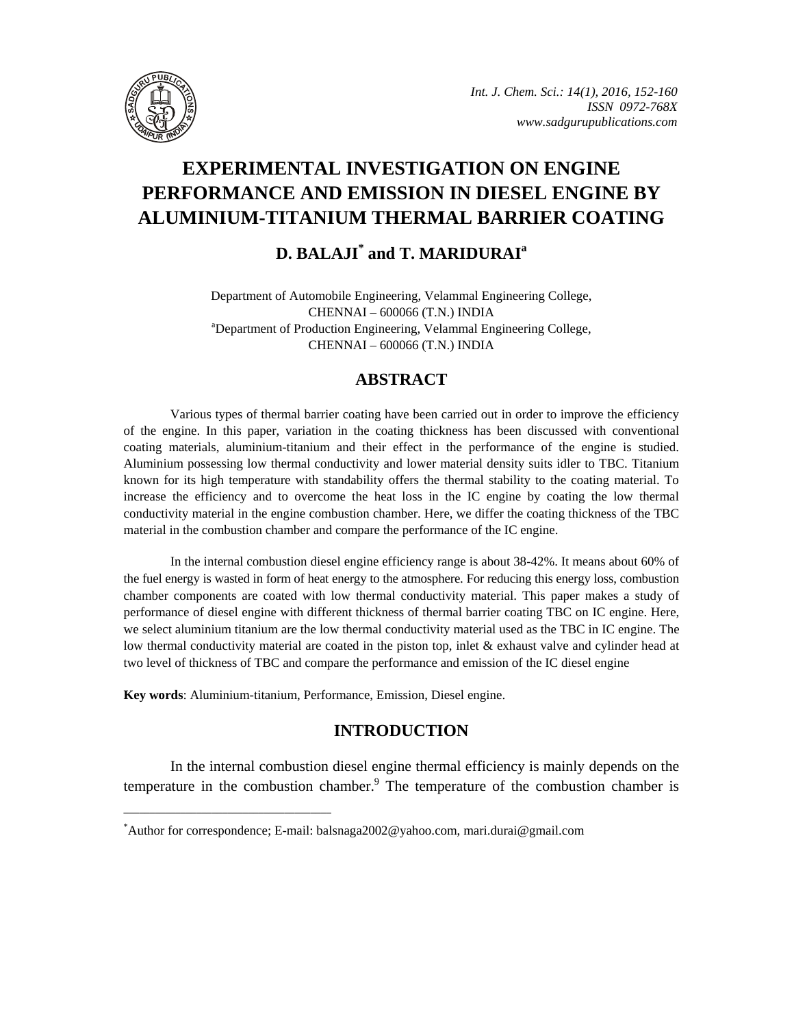

# **EXPERIMENTAL INVESTIGATION ON ENGINE PERFORMANCE AND EMISSION IN DIESEL ENGINE BY ALUMINIUM-TITANIUM THERMAL BARRIER COATING**

## **D. BALAJI\* and T. MARIDURAIa**

Department of Automobile Engineering, Velammal Engineering College, CHENNAI - 600066 (T.N.) INDIA Department of Production Engineering, Velammal Engineering College, CHENNAI – 600066 (T.N.) INDIA

## **ABSTRACT**

Various types of thermal barrier coating have been carried out in order to improve the efficiency of the engine. In this paper, variation in the coating thickness has been discussed with conventional coating materials, aluminium-titanium and their effect in the performance of the engine is studied. Aluminium possessing low thermal conductivity and lower material density suits idler to TBC. Titanium known for its high temperature with standability offers the thermal stability to the coating material. To increase the efficiency and to overcome the heat loss in the IC engine by coating the low thermal conductivity material in the engine combustion chamber. Here, we differ the coating thickness of the TBC material in the combustion chamber and compare the performance of the IC engine.

In the internal combustion diesel engine efficiency range is about 38-42%. It means about 60% of the fuel energy is wasted in form of heat energy to the atmosphere. For reducing this energy loss, combustion chamber components are coated with low thermal conductivity material. This paper makes a study of performance of diesel engine with different thickness of thermal barrier coating TBC on IC engine. Here, we select aluminium titanium are the low thermal conductivity material used as the TBC in IC engine. The low thermal conductivity material are coated in the piston top, inlet & exhaust valve and cylinder head at two level of thickness of TBC and compare the performance and emission of the IC diesel engine

**Key words**: Aluminium-titanium, Performance, Emission, Diesel engine.

**\_\_\_\_\_\_\_\_\_\_\_\_\_\_\_\_\_\_\_\_\_\_\_\_\_\_\_\_\_\_\_\_\_\_\_\_\_\_\_\_**

## **INTRODUCTION**

In the internal combustion diesel engine thermal efficiency is mainly depends on the temperature in the combustion chamber. $9$  The temperature of the combustion chamber is

<sup>\*</sup> Author for correspondence; E-mail: balsnaga2002@yahoo.com, mari.durai@gmail.com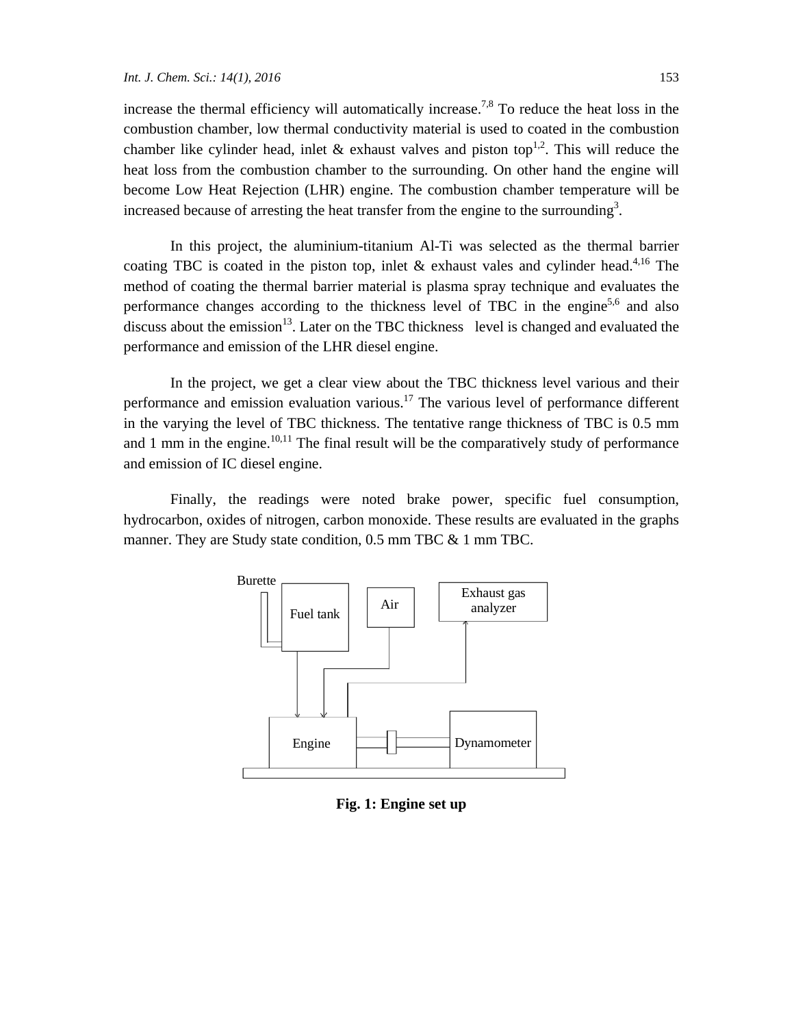increase the thermal efficiency will automatically increase.<sup>7,8</sup> To reduce the heat loss in the combustion chamber, low thermal conductivity material is used to coated in the combustion chamber like cylinder head, inlet & exhaust valves and piston top<sup>1,2</sup>. This will reduce the heat loss from the combustion chamber to the surrounding. On other hand the engine will become Low Heat Rejection (LHR) engine. The combustion chamber temperature will be increased because of arresting the heat transfer from the engine to the surrounding<sup>3</sup>.

In this project, the aluminium-titanium Al-Ti was selected as the thermal barrier coating TBC is coated in the piston top, inlet  $\&$  exhaust vales and cylinder head.<sup>4,16</sup> The method of coating the thermal barrier material is plasma spray technique and evaluates the performance changes according to the thickness level of TBC in the engine<sup>5,6</sup> and also discuss about the emission<sup>13</sup>. Later on the TBC thickness level is changed and evaluated the performance and emission of the LHR diesel engine.

In the project, we get a clear view about the TBC thickness level various and their performance and emission evaluation various.<sup>17</sup> The various level of performance different in the varying the level of TBC thickness. The tentative range thickness of TBC is 0.5 mm and 1 mm in the engine.<sup>10,11</sup> The final result will be the comparatively study of performance and emission of IC diesel engine.

Finally, the readings were noted brake power, specific fuel consumption, hydrocarbon, oxides of nitrogen, carbon monoxide. These results are evaluated in the graphs manner. They are Study state condition, 0.5 mm TBC & 1 mm TBC.



**Fig. 1: Engine set up**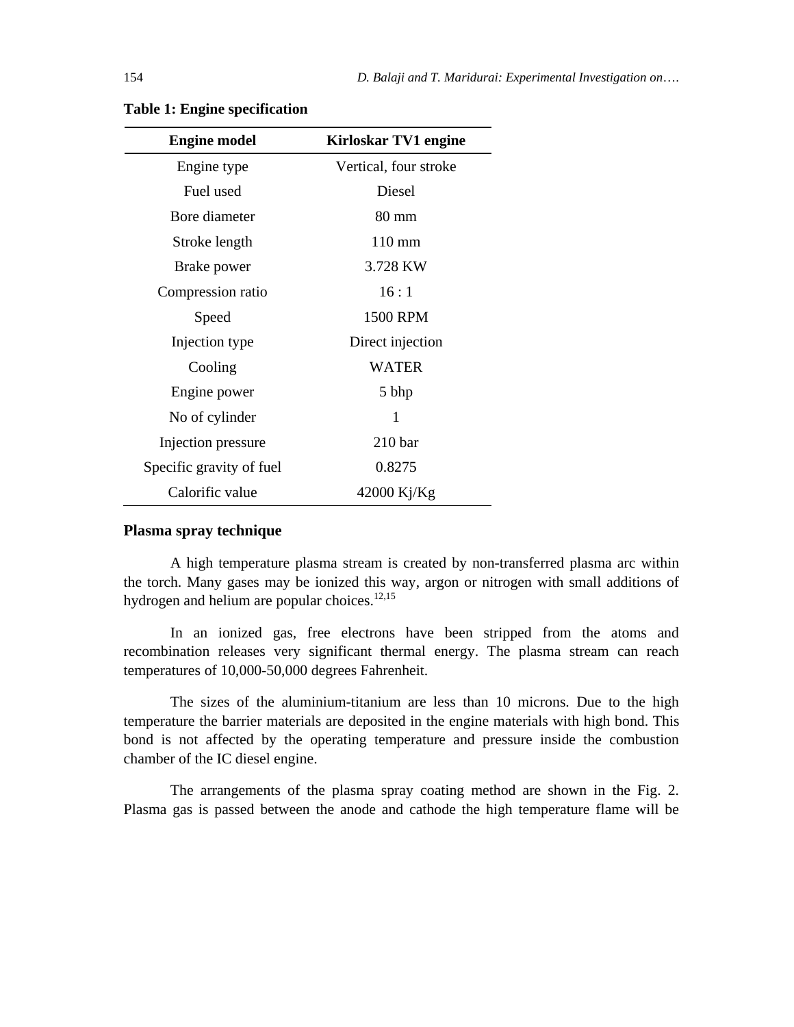| <b>Engine model</b>      | <b>Kirloskar TV1 engine</b> |
|--------------------------|-----------------------------|
| Engine type              | Vertical, four stroke       |
| Fuel used                | Diesel                      |
| Bore diameter            | 80 mm                       |
| Stroke length            | $110 \text{ mm}$            |
| Brake power              | 3.728 KW                    |
| Compression ratio        | 16:1                        |
| Speed                    | 1500 RPM                    |
| Injection type           | Direct injection            |
| Cooling                  | <b>WATER</b>                |
| Engine power             | 5 bhp                       |
| No of cylinder           | 1                           |
| Injection pressure       | 210 <sub>bar</sub>          |
| Specific gravity of fuel | 0.8275                      |
| Calorific value          | $42000$ Kj/Kg               |

#### **Table 1: Engine specification**

#### **Plasma spray technique**

A high temperature plasma stream is created by non-transferred plasma arc within the torch. Many gases may be ionized this way, argon or nitrogen with small additions of hydrogen and helium are popular choices.<sup>12,15</sup>

In an ionized gas, free electrons have been stripped from the atoms and recombination releases very significant thermal energy. The plasma stream can reach temperatures of 10,000-50,000 degrees Fahrenheit.

The sizes of the aluminium-titanium are less than 10 microns. Due to the high temperature the barrier materials are deposited in the engine materials with high bond. This bond is not affected by the operating temperature and pressure inside the combustion chamber of the IC diesel engine.

The arrangements of the plasma spray coating method are shown in the Fig. 2. Plasma gas is passed between the anode and cathode the high temperature flame will be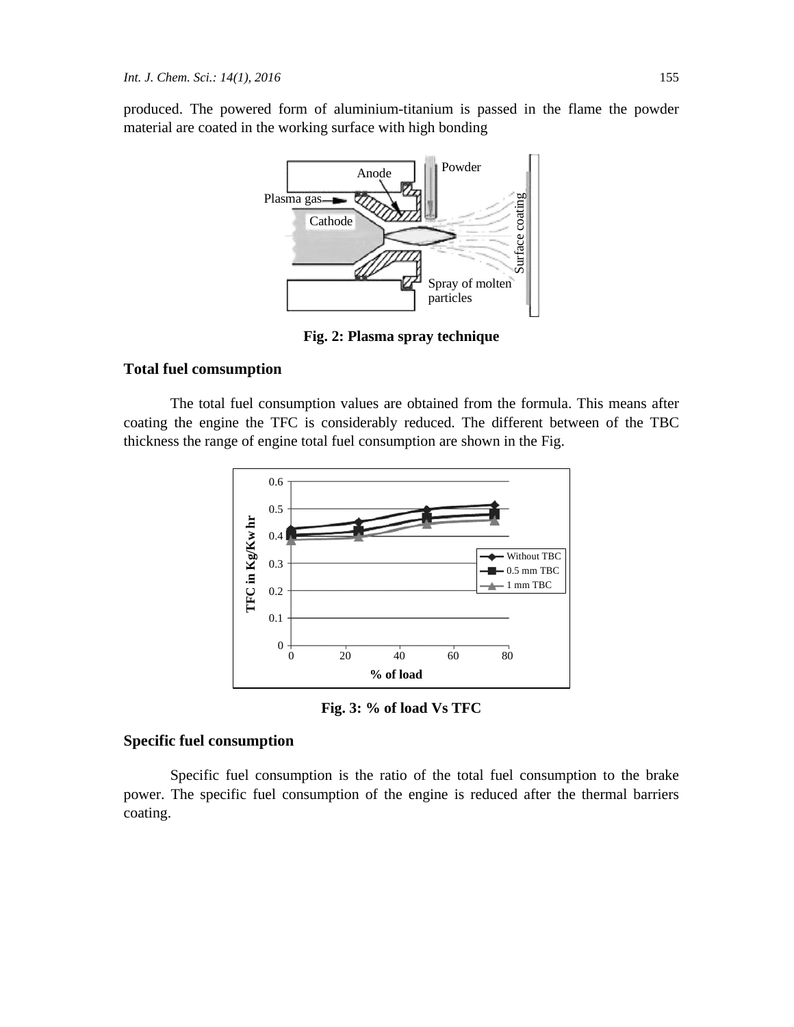produced. The powered form of aluminium-titanium is passed in the flame the powder material are coated in the working surface with high bonding



**Fig. 2: Plasma spray technique** 

#### **Total fuel comsumption**

The total fuel consumption values are obtained from the formula. This means after coating the engine the TFC is considerably reduced. The different between of the TBC thickness the range of engine total fuel consumption are shown in the Fig.



**Fig. 3: % of load Vs TFC** 

#### **Specific fuel consumption**

Specific fuel consumption is the ratio of the total fuel consumption to the brake power. The specific fuel consumption of the engine is reduced after the thermal barriers coating.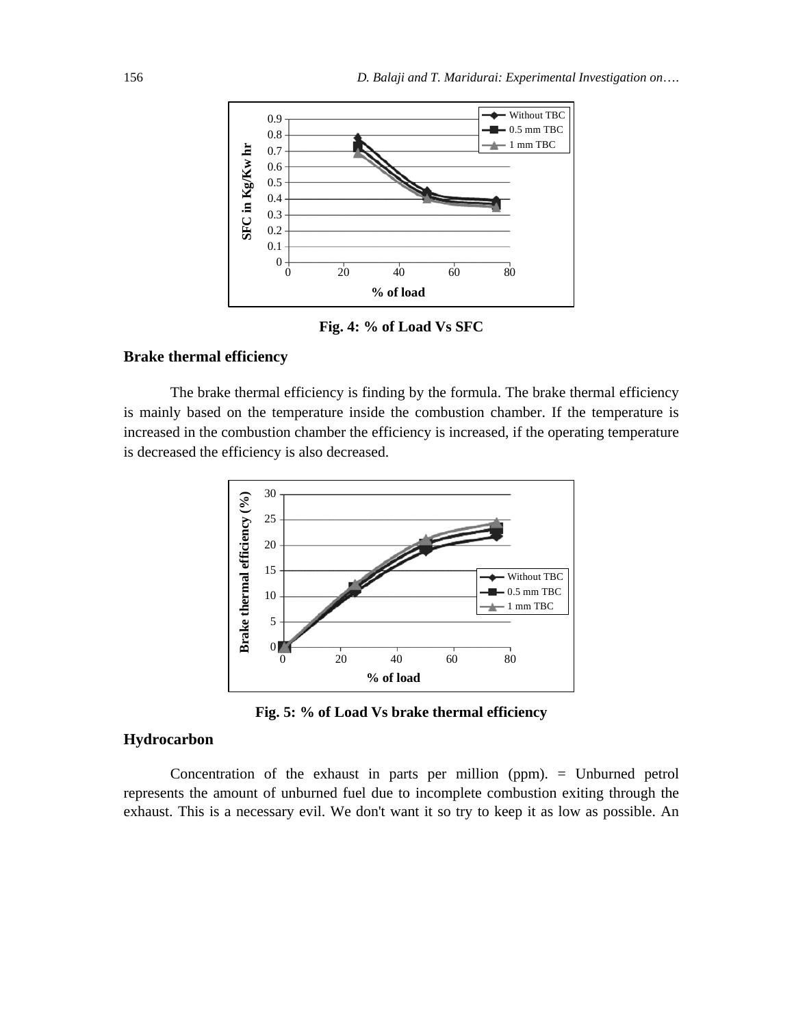

**Fig. 4: % of Load Vs SFC** 

#### **Brake thermal efficiency**

The brake thermal efficiency is finding by the formula. The brake thermal efficiency is mainly based on the temperature inside the combustion chamber. If the temperature is increased in the combustion chamber the efficiency is increased, if the operating temperature is decreased the efficiency is also decreased.



**Fig. 5: % of Load Vs brake thermal efficiency** 

#### **Hydrocarbon**

Concentration of the exhaust in parts per million (ppm). = Unburned petrol represents the amount of unburned fuel due to incomplete combustion exiting through the exhaust. This is a necessary evil. We don't want it so try to keep it as low as possible. An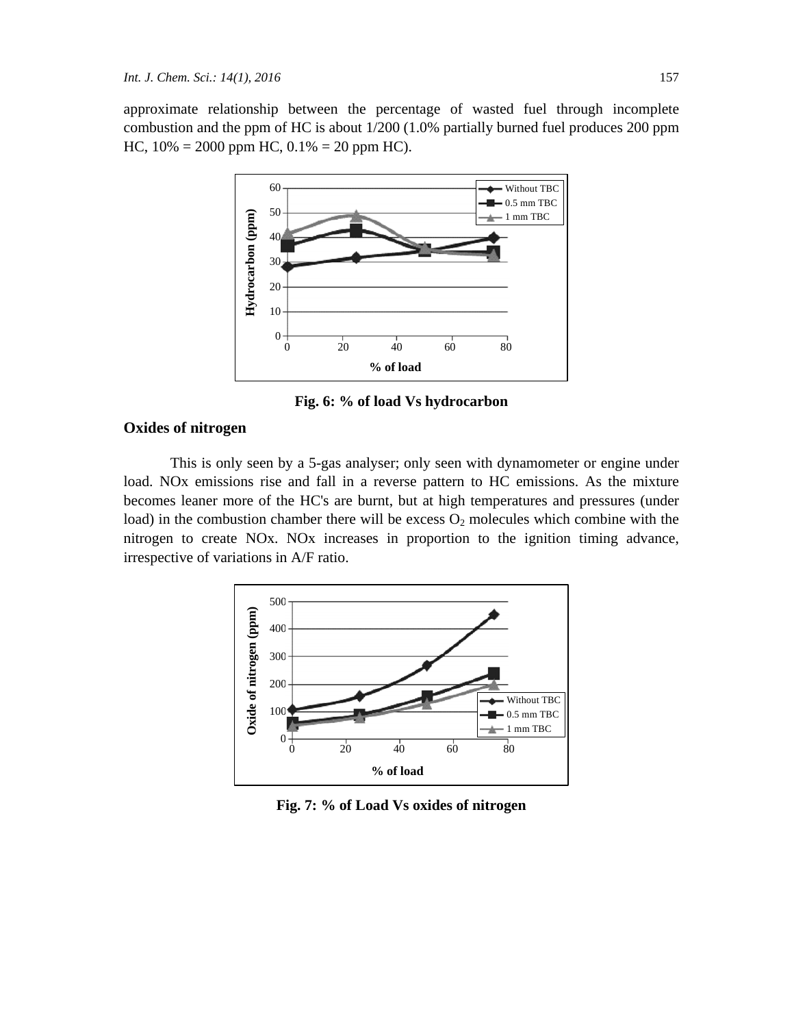approximate relationship between the percentage of wasted fuel through incomplete combustion and the ppm of HC is about 1/200 (1.0% partially burned fuel produces 200 ppm HC,  $10\% = 2000$  ppm HC,  $0.1\% = 20$  ppm HC).



**Fig. 6: % of load Vs hydrocarbon** 

#### **Oxides of nitrogen**

This is only seen by a 5-gas analyser; only seen with dynamometer or engine under load. NOx emissions rise and fall in a reverse pattern to HC emissions. As the mixture becomes leaner more of the HC's are burnt, but at high temperatures and pressures (under load) in the combustion chamber there will be excess  $O_2$  molecules which combine with the nitrogen to create NOx. NOx increases in proportion to the ignition timing advance, irrespective of variations in A/F ratio.



**Fig. 7: % of Load Vs oxides of nitrogen**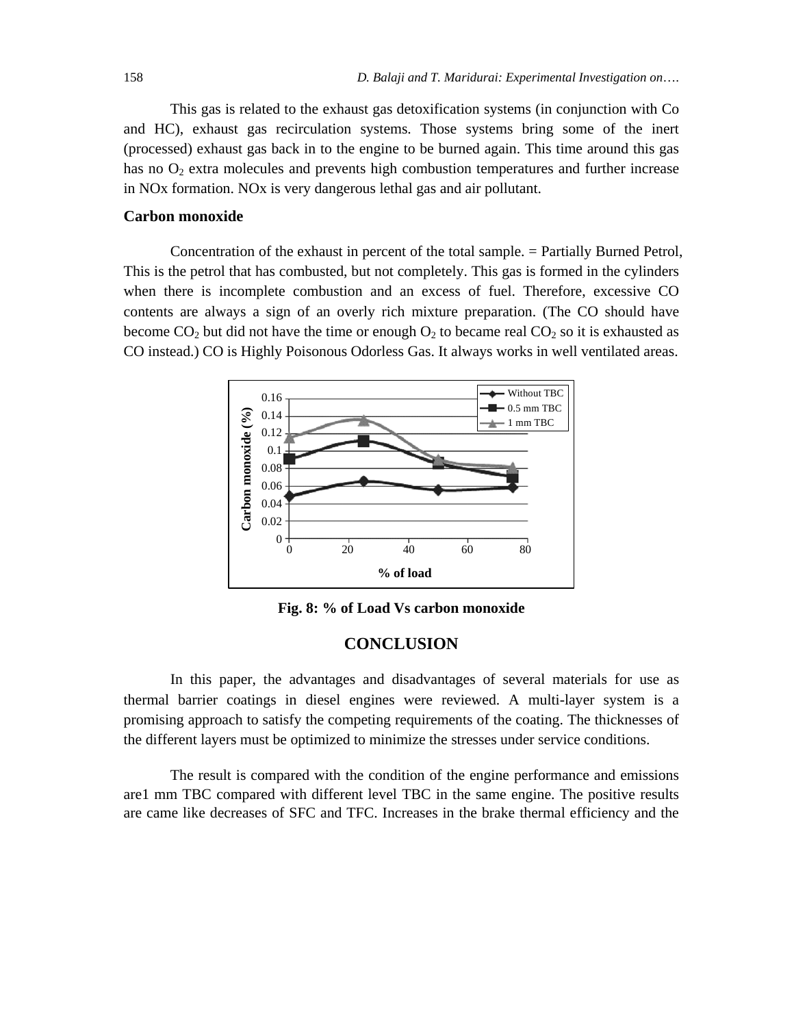This gas is related to the exhaust gas detoxification systems (in conjunction with Co and HC), exhaust gas recirculation systems. Those systems bring some of the inert (processed) exhaust gas back in to the engine to be burned again. This time around this gas has no  $O_2$  extra molecules and prevents high combustion temperatures and further increase in NOx formation. NOx is very dangerous lethal gas and air pollutant.

#### **Carbon monoxide**

Concentration of the exhaust in percent of the total sample. = Partially Burned Petrol, This is the petrol that has combusted, but not completely. This gas is formed in the cylinders when there is incomplete combustion and an excess of fuel. Therefore, excessive CO contents are always a sign of an overly rich mixture preparation. (The CO should have become  $CO_2$  but did not have the time or enough  $O_2$  to became real  $CO_2$  so it is exhausted as CO instead.) CO is Highly Poisonous Odorless Gas. It always works in well ventilated areas.



**Fig. 8: % of Load Vs carbon monoxide** 

#### **CONCLUSION**

In this paper, the advantages and disadvantages of several materials for use as thermal barrier coatings in diesel engines were reviewed. A multi-layer system is a promising approach to satisfy the competing requirements of the coating. The thicknesses of the different layers must be optimized to minimize the stresses under service conditions.

The result is compared with the condition of the engine performance and emissions are1 mm TBC compared with different level TBC in the same engine. The positive results are came like decreases of SFC and TFC. Increases in the brake thermal efficiency and the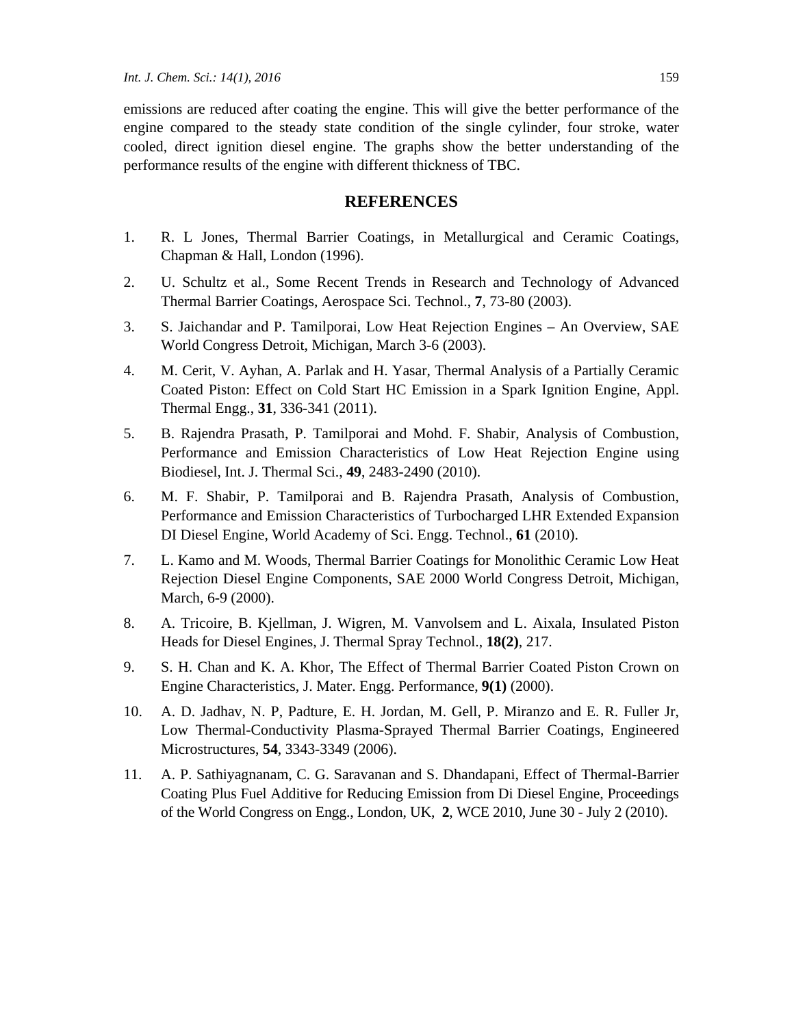emissions are reduced after coating the engine. This will give the better performance of the engine compared to the steady state condition of the single cylinder, four stroke, water cooled, direct ignition diesel engine. The graphs show the better understanding of the performance results of the engine with different thickness of TBC.

#### **REFERENCES**

- 1. R. L Jones, Thermal Barrier Coatings, in Metallurgical and Ceramic Coatings, Chapman & Hall, London (1996).
- 2. U. Schultz et al., Some Recent Trends in Research and Technology of Advanced Thermal Barrier Coatings, Aerospace Sci. Technol., **7**, 73-80 (2003).
- 3. S. Jaichandar and P. Tamilporai, Low Heat Rejection Engines An Overview, SAE World Congress Detroit, Michigan, March 3-6 (2003).
- 4. M. Cerit, V. Ayhan, A. Parlak and H. Yasar, Thermal Analysis of a Partially Ceramic Coated Piston: Effect on Cold Start HC Emission in a Spark Ignition Engine, Appl. Thermal Engg., **31**, 336-341 (2011).
- 5. B. Rajendra Prasath, P. Tamilporai and Mohd. F. Shabir, Analysis of Combustion, Performance and Emission Characteristics of Low Heat Rejection Engine using Biodiesel, Int. J. Thermal Sci., **49**, 2483-2490 (2010).
- 6. M. F. Shabir, P. Tamilporai and B. Rajendra Prasath, Analysis of Combustion, Performance and Emission Characteristics of Turbocharged LHR Extended Expansion DI Diesel Engine, World Academy of Sci. Engg. Technol., **61** (2010).
- 7. L. Kamo and M. Woods, Thermal Barrier Coatings for Monolithic Ceramic Low Heat Rejection Diesel Engine Components, SAE 2000 World Congress Detroit, Michigan, March, 6-9 (2000).
- 8. A. Tricoire, B. Kjellman, J. Wigren, M. Vanvolsem and L. Aixala, Insulated Piston Heads for Diesel Engines, J. Thermal Spray Technol., **18(2)**, 217.
- 9. S. H. Chan and K. A. Khor, The Effect of Thermal Barrier Coated Piston Crown on Engine Characteristics, J. Mater. Engg. Performance, **9(1)** (2000).
- 10. A. D. Jadhav, N. P, Padture, E. H. Jordan, M. Gell, P. Miranzo and E. R. Fuller Jr, Low Thermal-Conductivity Plasma-Sprayed Thermal Barrier Coatings, Engineered Microstructures, **54**, 3343-3349 (2006).
- 11. A. P. Sathiyagnanam, C. G. Saravanan and S. Dhandapani, Effect of Thermal-Barrier Coating Plus Fuel Additive for Reducing Emission from Di Diesel Engine, Proceedings of the World Congress on Engg., London, UK, **2**, WCE 2010, June 30 - July 2 (2010).